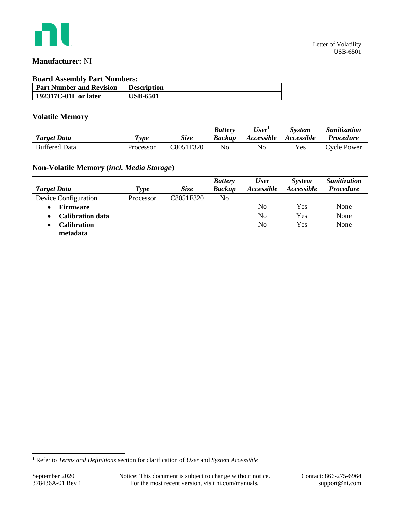

# **Manufacturer:** NI

## **Board Assembly Part Numbers:**

| <b>Part Number and Revision</b> | <b>Description</b> |
|---------------------------------|--------------------|
| 192317C-01L or later            | <b>USB-6501</b>    |

# **Volatile Memory**

|                      |                           |             | <b>Battery</b> | User'             | <i>System</i>     | <i><b>Sanitization</b></i> |
|----------------------|---------------------------|-------------|----------------|-------------------|-------------------|----------------------------|
| <b>Target Data</b>   | $\boldsymbol{\tau_{vpe}}$ | <b>Size</b> | Backup         | <i>Accessible</i> | <i>Accessible</i> | <b>Procedure</b>           |
| <b>Buffered Data</b> | Processor                 | C8051F320   | No             | No                | Yes               | Cvcle Power                |

# **Non-Volatile Memory (***incl. Media Storage***)**

| <b>Target Data</b>                   | <b>Type</b> | <i>Size</i> | <b>Battery</b><br><b>Backup</b> | <b>User</b><br>Accessible | <b>System</b><br><b>Accessible</b> | Sanitization<br><b>Procedure</b> |
|--------------------------------------|-------------|-------------|---------------------------------|---------------------------|------------------------------------|----------------------------------|
|                                      |             |             |                                 |                           |                                    |                                  |
| Device Configuration                 | Processor   | C8051F320   | N <sub>0</sub>                  |                           |                                    |                                  |
| Firmware<br>$\bullet$                |             |             |                                 | No                        | Yes                                | None                             |
| <b>Calibration data</b><br>$\bullet$ |             |             |                                 | No                        | Yes                                | None                             |
| Calibration<br>$\bullet$             |             |             |                                 | No                        | Yes                                | None                             |
| metadata                             |             |             |                                 |                           |                                    |                                  |

l

<sup>1</sup> Refer to *Terms and Definitions* section for clarification of *User* and *System Accessible*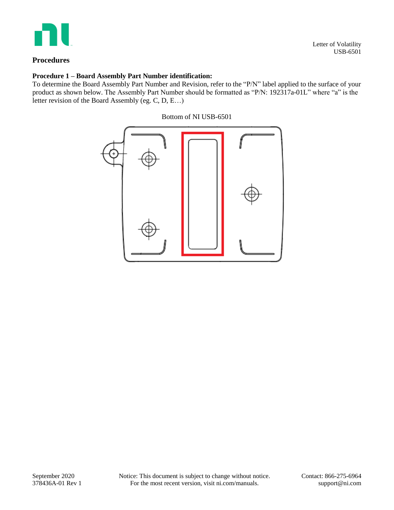

# **Procedures**

## **Procedure 1 – Board Assembly Part Number identification:**

To determine the Board Assembly Part Number and Revision, refer to the "P/N" label applied to the surface of your product as shown below. The Assembly Part Number should be formatted as "P/N: 192317a-01L" where "a" is the letter revision of the Board Assembly (eg. C, D, E…)

Bottom of NI USB-6501